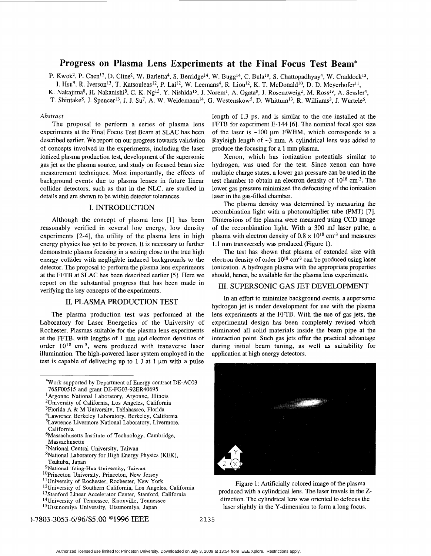# **Progress on Plasma Lens Experiments at the Final Focus Test Beam\***

P. Kwok<sup>2</sup>, P. Chen<sup>13</sup>, D. Cline<sup>2</sup>, W. Barletta<sup>4</sup>, S. Berridge<sup>14</sup>, W. Bugg<sup>14</sup>, C. Bula<sup>10</sup>, S. Chattopadhyay<sup>4</sup>, W. Craddock<sup>13</sup>,

I. Hsu<sup>9</sup>, R. Iverson<sup>13</sup>, T. Katsouleas<sup>12</sup>, P. Lai<sup>12</sup>, W. Leemans<sup>4</sup>, R. Liou<sup>12</sup>, K. T. McDonald<sup>10</sup>, D. D. Meyerhofer<sup>11</sup>,

K. Nakajima8, H. Nakanishis, C. K. NgI3, **Y.** Nishida15, **J.** Norem', **A.** Ogata\*, **J.** Rosenzweig2, M. Ross13, **A.** Sesslef',

T. Shintake<sup>8</sup>, J. Spencer<sup>13</sup>, J. J. Su<sup>7</sup>, A. W. Weidemann<sup>14</sup>, G. Westenskow<sup>5</sup>, D. Whittum<sup>13</sup>, R. Williams<sup>3</sup>, J. Wurtele<sup>6</sup>.

## *Abstract*

The proposal to perform a series of plasma lens experiments at the Final Focus Test Beam at **SLAC** has been described earlier. We report on our progress towards validation of concepts involved in the experiments, including the laser ionized plasma production test, development of the supersonic gas jet as the plasma source, and study on focused beam size measurement techniques. Most importantly, the effects of background events due to plasma lenses in future linear collider detectors, such as that in the NLC, are studied in details and are shown to be within detector tolerances.

## **I.** INTRODUCTION

Although the concept of plasma lens [l] has been reasonably verified in several low energy, low density experiments [2-41, the utility of the plasma lens in high energy physics has yet to be proven. It is necessary to further demonstrate plasma focusing in a setting close to the true high energy collider with negligible induced backgrounds to the detector. The proposal to perform the plasma lens experiments at the FFTB at SLAC has been described earlier *[5].* Here we report on the substantial progress that has been made in verifying the key concepts of the experiments.

## **11.** PLASMA PRODUCTION TEST

The plasma production test was performed at the Laboratory for Laser Energetics of the University of Rochester. Plasmas suitable for the plasma lens experiments at the FFTB, with lengths of 1 mm and electron densities of order  $10^{18}$  cm<sup>-3</sup>, were produced with transverse laser illumination. The high-powered laser system employed in the test is capable of delivering up to  $1$  J at  $1 \mu m$  with a pulse

6Massachusetts Institute of Technology, Cambridge, Massachusetts

- \*National Laboratory for High Energy Physics (KEK), Tsukuba, Japan
- 9National Tsing-Hua University, Taiwan
- <sup>10</sup>Princeton University, Princeton, New Jersey
- <sup>11</sup>University of Rochester, Rochester, New York
- <sup>12</sup>University of Southern California, Los Angeles, California
- <sup>13</sup>Stanford Linear Accelerator Center, Stanford, California
- <sup>14</sup>University of Tennessee, Knoxville, Tennessee

1-7803-3053-6/96/\$5 .OO O1996 IEEE *2* **135** 

length of 1.3 ps, and is similar to the one installed at the FFTB for experiment E-144 **[6].** The nominal focal spot size of the laser is  $\sim 100$  um FWHM, which corresponds to a Rayleigh length of **-3** mm. **A** cylindrical lens was added to produce the focusing for a 1 mm plasma.

Xenon, which has ionization potentials similar to hydrogen, was used for the test. Since xenon can have multiple charge states, a lower gas pressure can be used in the test chamber to obtain an electron density of  $10^{18}$  cm<sup>-3</sup>. The lower gas pressure minimized the defocusing of the ionization laser in the gas-filled chamber.

The plasma density was determined by measuring the recombination light with a photomultiplier tube (PMT) [7]. Dimensions of the plasma were measured using CCD image of the recombination light. With **a** 300 mJ laser pulse, a plasma with electron density of  $0.8 \times 10^{18}$  cm<sup>-3</sup> and measures 1.1 mm transversely was produced (Figure 1).

The test has shown that plasma of extended size with electron density of order  $10^{18}$  cm<sup>-3</sup> can be produced using laser ionization. **A** hydrogen plasma with the appropriate properties should, hence, be available for the plasma lens experiments.

## 111. SUPERSONIC **GAS JET** DEVELOPMENT

In an effort to minimize background events, a supersonic hydrogen jet is under development for use with the plasma lens experiments at the FFTB. With the use of gas jets, the experimental design has been completely revised which eliminated all solid materials inside the beam pipe at the interaction point. Such gas jets offer the practical advantage during initial beam tuning, **as** well as suitability for application at high energy detectors.



Figure 1: Artificially colored image of the plasma produced with a cylindrical lens. The laser travels in the *Z*direction. The cylindrical lens was oriented to defocus the laser slightly in the Y-dimension to form a long focus.

<sup>\*</sup>Work supported by Department of Energy contract DE-AC03- 76SF00515 and grant DE-FG03-92ER40695.

<sup>&</sup>lt;sup>1</sup> Argonne National Laboratory, Argonne, Illinois

<sup>&#</sup>x27;University of California, LOS Angeles, California

 $3$ Florida A & M University, Tallahassee, Florida

<sup>4</sup>Lawrence Berkeley Laboratory, Berkeley, California 'Lawrence Livermore National Laboratory, Livermore,

California

<sup>7</sup>National Central University, Taiwan

<sup>&</sup>lt;sup>5</sup>Utsunomiya University, Utsunomiya, Japan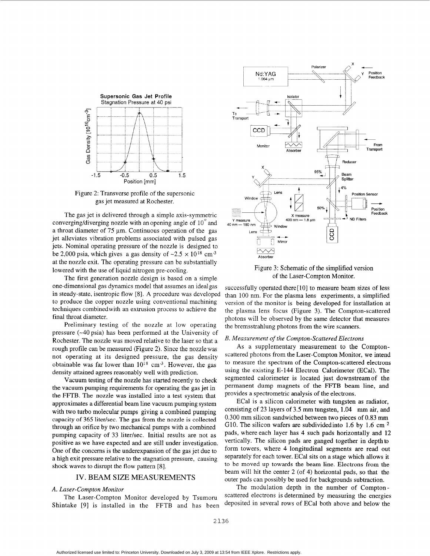

Figure 2: Transverse profile of the supersonic gas jet measured at Rochester.

The gas jet is delivered through a simple axis-symmetric converging/diverging nozzle with an opening angle of  $10^{\circ}$  and a throat diameter of  $75 \mu m$ . Continuous operation of the gas jet alleviates vibration problems associated with pulsed gas jets. Nominal operating pressure of the nozzle is designed to be 2,000 psia, which gives a gas density of  $\sim 2.5 \times 10^{18}$  cm<sup>-3</sup> at the nozzle exit. The operating pressure can be substantially lowered with the use of liquid nitrogen pre-cooling.

The first generation nozzle design is based on a simple one-dimensional gas dynamics model that assumes an ideal gas in steady-state, isentropic flow *[8].* **A** procedure was developed to produce the copper nozzle using conventional machining techniques combinedwith an extrusion process to achieve the final throat diameter.

Preliminary testing of the nozzle at low operating pressure (-40 psia) has been performed at the University of Rochester. The nozzle was moved relative to the laser so that a rough profile can be measured (Figure 2). Since the nozzlewas not operating at its designed pressure, the gas density obtainable was far lower than  $10^{18}$  cm<sup>-3</sup>. However, the gas density attained agrees reasonably well with prediction.

Vacuum testing of the nozzle has started recently to check the vacuum pumping requirements for operating the gas jet in the FFTB. The nozzle was installed into a test system that approximates a differential beam line vacuum pumping system with two turbo molecular pumps giving a combined pumping capacity of 365 liter/sec. The gas from the nozzle is collected through an orifice by two mechanical pumps with a combined pumping capacity of 33 liter/sec. Initial results are not as positive as we have expected and are still under investigation. One of the concerns is the underexpansion of the gas jet due to a high exit pressure relative to the stagnation pressure, causing shock waves to disrupt the flow pattern *[8].* 

## IV. BEAM SIZE MEASUREMENTS

#### **A.** *Laser-Compton Monitor*

The Laser-Compton Monitor developed by Tsumoru Shintake [9] is installed in the FFTB and has been



Figure 3: Schematic of the simplified version of the Laser-Compton Monitor.

successfully operated there<sup>[10]</sup> to measure beam sizes of less than 100 nm. For the plasma lens experiments, **a** simplified version of the monitor is being developed for installation at the plasma lens focus (Figure 3). The Compton-scattered photons will be observed by the same detector that measures the bremsstrahlung photons from the wire scanners.

#### *B. Measurement of the Compton-Scattered Electrons*

As a supplementary measurement to the Comptonscattered photons from the Laser-Compton Monitor, we intend to measure the spectrum of the Compton-scattered electrons using the existing E-144 Electron Calorimeter (ECal). The segmented calorimeter is located just downstreamof the permanent dump magnets of the FFTB beam line, and provides a spectrometric analysis of the electrons.

ECal is a silicon calorimeter with tungsten as radiator, consisting of 23 layers of 3.5 mm tungsten, **1.04** mm air, and 0.300 mm silicon sandwiched between two pieces of 0.83 mm G10. The silicon wafers are subdivided into 1.6 by 1.6 cm  $^2$ pads, where each layer has 4 such pads horizontally and 12 vertically. The silicon pads are ganged together in depth to form towers, where 4 longitudinal segments are read out separately for each tower. ECal sits on a stage which allows it to be moved up towards the beam line. Electrons from the beam will hit the center *2* (of 4) horizontal pads, so that the outer pads can possibly be used for backgrounds subtraction.

The modulation depth in the number of Comptonscattered electrons is determined by measuring the energies deposited in several rows of ECal both above and below the